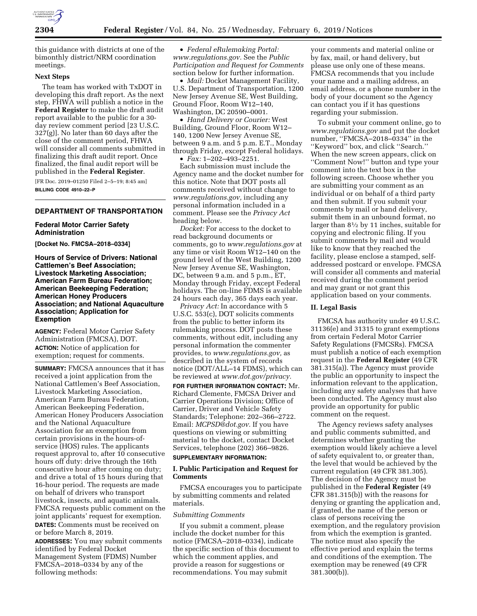

this guidance with districts at one of the bimonthly district/NRM coordination meetings.

### **Next Steps**

The team has worked with TxDOT in developing this draft report. As the next step, FHWA will publish a notice in the **Federal Register** to make the draft audit report available to the public for a 30 day review comment period [23 U.S.C. 327(g)]. No later than 60 days after the close of the comment period, FHWA will consider all comments submitted in finalizing this draft audit report. Once finalized, the final audit report will be published in the **Federal Register**.

[FR Doc. 2019–01250 Filed 2–5–19; 8:45 am] **BILLING CODE 4910–22–P** 

# **DEPARTMENT OF TRANSPORTATION**

#### **Federal Motor Carrier Safety Administration**

**[Docket No. FMCSA–2018–0334]** 

**Hours of Service of Drivers: National Cattlemen's Beef Association; Livestock Marketing Association; American Farm Bureau Federation; American Beekeeping Federation; American Honey Producers Association; and National Aquaculture Association; Application for Exemption** 

**AGENCY:** Federal Motor Carrier Safety Administration (FMCSA), DOT. **ACTION:** Notice of application for exemption; request for comments.

**SUMMARY:** FMCSA announces that it has received a joint application from the National Cattlemen's Beef Association, Livestock Marketing Association, American Farm Bureau Federation, American Beekeeping Federation, American Honey Producers Association and the National Aquaculture Association for an exemption from certain provisions in the hours-ofservice (HOS) rules. The applicants request approval to, after 10 consecutive hours off duty: drive through the 16th consecutive hour after coming on duty; and drive a total of 15 hours during that 16-hour period. The requests are made on behalf of drivers who transport livestock, insects, and aquatic animals. FMCSA requests public comment on the joint applicants' request for exemption. **DATES:** Comments must be received on or before March 8, 2019.

**ADDRESSES:** You may submit comments identified by Federal Docket Management System (FDMS) Number FMCSA–2018–0334 by any of the following methods:

• *Federal eRulemaking Portal: [www.regulations.gov.](http://www.regulations.gov)* See the *Public Participation and Request for Comments*  section below for further information.

• *Mail:* Docket Management Facility, U.S. Department of Transportation, 1200 New Jersey Avenue SE, West Building, Ground Floor, Room W12–140, Washington, DC 20590–0001.

• *Hand Delivery or Courier:* West Building, Ground Floor, Room W12– 140, 1200 New Jersey Avenue SE, between 9 a.m. and 5 p.m. E.T., Monday through Friday, except Federal holidays.

• *Fax:* 1–202–493–2251.

Each submission must include the Agency name and the docket number for this notice. Note that DOT posts all comments received without change to *[www.regulations.gov,](http://www.regulations.gov)* including any personal information included in a comment. Please see the *Privacy Act*  heading below.

*Docket:* For access to the docket to read background documents or comments, go to *[www.regulations.gov](http://www.regulations.gov)* at any time or visit Room W12–140 on the ground level of the West Building, 1200 New Jersey Avenue SE, Washington, DC, between 9 a.m. and 5 p.m., ET, Monday through Friday, except Federal holidays. The on-line FDMS is available 24 hours each day, 365 days each year.

*Privacy Act:* In accordance with 5 U.S.C. 553(c), DOT solicits comments from the public to better inform its rulemaking process. DOT posts these comments, without edit, including any personal information the commenter provides, to *[www.regulations.gov,](http://www.regulations.gov)* as described in the system of records notice (DOT/ALL–14 FDMS), which can be reviewed at *[www.dot.gov/privacy.](http://www.dot.gov/privacy)* 

**FOR FURTHER INFORMATION CONTACT:** Mr. Richard Clemente, FMCSA Driver and Carrier Operations Division; Office of Carrier, Driver and Vehicle Safety Standards; Telephone: 202–366–2722. Email: *[MCPSD@dot.gov.](mailto:MCPSD@dot.gov)* If you have questions on viewing or submitting material to the docket, contact Docket Services, telephone (202) 366–9826.

# **SUPPLEMENTARY INFORMATION:**

# **I. Public Participation and Request for Comments**

FMCSA encourages you to participate by submitting comments and related materials.

#### *Submitting Comments*

If you submit a comment, please include the docket number for this notice (FMCSA–2018–0334), indicate the specific section of this document to which the comment applies, and provide a reason for suggestions or recommendations. You may submit

your comments and material online or by fax, mail, or hand delivery, but please use only one of these means. FMCSA recommends that you include your name and a mailing address, an email address, or a phone number in the body of your document so the Agency can contact you if it has questions regarding your submission.

To submit your comment online, go to *[www.regulations.gov](http://www.regulations.gov)* and put the docket number, ''FMCSA–2018–0334'' in the ''Keyword'' box, and click ''Search.'' When the new screen appears, click on ''Comment Now!'' button and type your comment into the text box in the following screen. Choose whether you are submitting your comment as an individual or on behalf of a third party and then submit. If you submit your comments by mail or hand delivery, submit them in an unbound format, no larger than 81⁄2 by 11 inches, suitable for copying and electronic filing. If you submit comments by mail and would like to know that they reached the facility, please enclose a stamped, selfaddressed postcard or envelope. FMCSA will consider all comments and material received during the comment period and may grant or not grant this application based on your comments.

### **II. Legal Basis**

FMCSA has authority under 49 U.S.C. 31136(e) and 31315 to grant exemptions from certain Federal Motor Carrier Safety Regulations (FMCSRs). FMCSA must publish a notice of each exemption request in the **Federal Register** (49 CFR 381.315(a)). The Agency must provide the public an opportunity to inspect the information relevant to the application, including any safety analyses that have been conducted. The Agency must also provide an opportunity for public comment on the request.

The Agency reviews safety analyses and public comments submitted, and determines whether granting the exemption would likely achieve a level of safety equivalent to, or greater than, the level that would be achieved by the current regulation (49 CFR 381.305). The decision of the Agency must be published in the **Federal Register** (49 CFR 381.315(b)) with the reasons for denying or granting the application and, if granted, the name of the person or class of persons receiving the exemption, and the regulatory provision from which the exemption is granted. The notice must also specify the effective period and explain the terms and conditions of the exemption. The exemption may be renewed (49 CFR 381.300(b)).